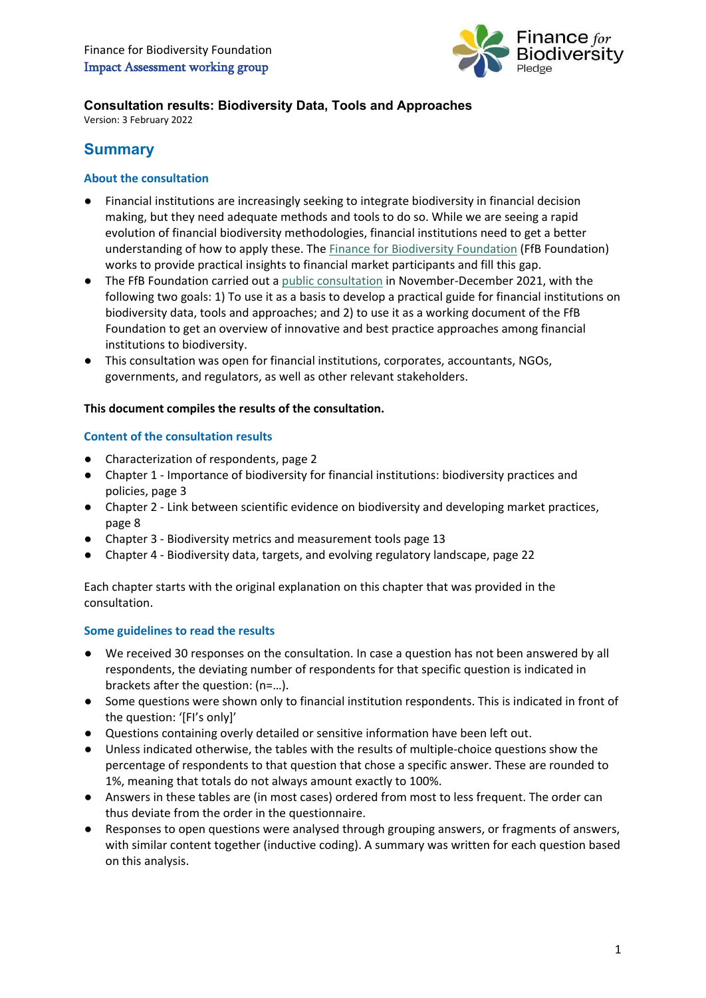

# **Consultation results: Biodiversity Data, Tools and Approaches**

Version: 3 February 2022

# **Summary**

# **About the consultation**

- Financial institutions are increasingly seeking to integrate biodiversity in financial decision making, but they need adequate methods and tools to do so. While we are seeing a rapid evolution of financial biodiversity methodologies, financial institutions need to get a better understanding of how to apply these. Th[e Finance for Biodiversity Foundation](https://www.financeforbiodiversity.org/about-the-foundation/) (FfB Foundation) works to provide practical insights to financial market participants and fill this gap.
- The FfB Foundation carried out a [public consultation](https://www.financeforbiodiversity.org/impact-assessment-working-group-starts-consultation-on-biodiversity-issues-and-approaches/) in November-December 2021, with the following two goals: 1) To use it as a basis to develop a practical guide for financial institutions on biodiversity data, tools and approaches; and 2) to use it as a working document of the FfB Foundation to get an overview of innovative and best practice approaches among financial institutions to biodiversity.
- This consultation was open for financial institutions, corporates, accountants, NGOs, governments, and regulators, as well as other relevant stakeholders.

### **This document compiles the results of the consultation.**

### **Content of the consultation results**

- Characterization of respondents, page 2
- Chapter 1 Importance of biodiversity for financial institutions: biodiversity practices and policies, page 3
- Chapter 2 Link between scientific evidence on biodiversity and developing market practices, page 8
- Chapter 3 Biodiversity metrics and measurement tools page 13
- Chapter 4 Biodiversity data, targets, and evolving regulatory landscape, page 22

Each chapter starts with the original explanation on this chapter that was provided in the consultation.

# **Some guidelines to read the results**

- We received 30 responses on the consultation. In case a question has not been answered by all respondents, the deviating number of respondents for that specific question is indicated in brackets after the question: (n=…).
- Some questions were shown only to financial institution respondents. This is indicated in front of the question: '[FI's only]'
- Questions containing overly detailed or sensitive information have been left out.
- Unless indicated otherwise, the tables with the results of multiple-choice questions show the percentage of respondents to that question that chose a specific answer. These are rounded to 1%, meaning that totals do not always amount exactly to 100%.
- Answers in these tables are (in most cases) ordered from most to less frequent. The order can thus deviate from the order in the questionnaire.
- Responses to open questions were analysed through grouping answers, or fragments of answers, with similar content together (inductive coding). A summary was written for each question based on this analysis.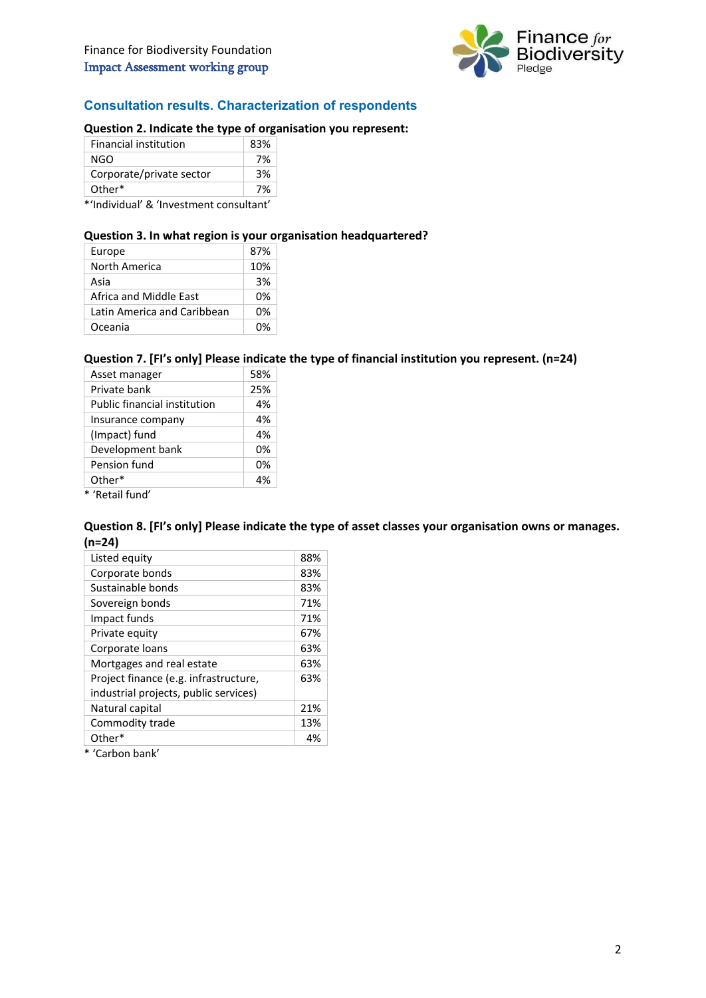

# **Consultation results. Characterization of respondents**

## **Question 2. Indicate the type of organisation you represent:**

| <b>Financial institution</b> | 83% |
|------------------------------|-----|
| NGO                          | 7%  |
| Corporate/private sector     | 3%  |
| Other*                       | 7%  |
|                              |     |

\*'Individual' & 'Investment consultant'

#### **Question 3. In what region is your organisation headquartered?**

| Europe                      | 87% |
|-----------------------------|-----|
| North America               | 10% |
| Asia                        | 3%  |
| Africa and Middle Fast      | 0%  |
| Latin America and Caribbean | 0%  |
| Oceania                     | በ%  |

#### **Question 7. [FI's only] Please indicate the type of financial institution you represent. (n=24)**

| Asset manager                | 58% |
|------------------------------|-----|
| Private bank                 | 25% |
| Public financial institution | 4%  |
| Insurance company            | 4%  |
| (Impact) fund                | 4%  |
| Development bank             | 0%  |
| Pension fund                 | 0%  |
| Other*                       | 4%  |
| * 'Retail fund'              |     |

**Question 8. [FI's only] Please indicate the type of asset classes your organisation owns or manages. (n=24)**

| Listed equity                                                                  | 88% |
|--------------------------------------------------------------------------------|-----|
| Corporate bonds                                                                | 83% |
| Sustainable bonds                                                              | 83% |
| Sovereign bonds                                                                | 71% |
| Impact funds                                                                   | 71% |
| Private equity                                                                 | 67% |
| Corporate loans                                                                | 63% |
| Mortgages and real estate                                                      | 63% |
| Project finance (e.g. infrastructure,<br>industrial projects, public services) | 63% |
| Natural capital                                                                | 21% |
| Commodity trade                                                                | 13% |
| Other*                                                                         |     |

\* 'Carbon bank'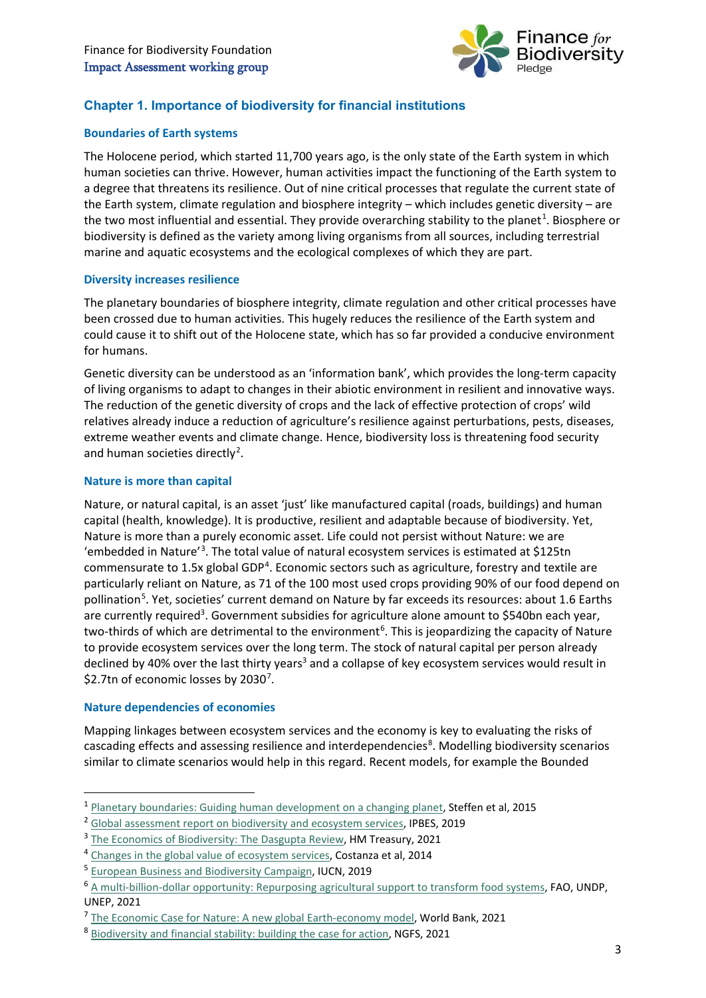

# **Chapter 1. Importance of biodiversity for financial institutions**

# **Boundaries of Earth systems**

The Holocene period, which started 11,700 years ago, is the only state of the Earth system in which human societies can thrive. However, human activities impact the functioning of the Earth system to a degree that threatens its resilience. Out of nine critical processes that regulate the current state of the Earth system, climate regulation and biosphere integrity – which includes genetic diversity – are the two most influential and essential. They provide overarching stability to the planet<sup>[1](#page-2-0)</sup>. Biosphere or biodiversity is defined as the variety among living organisms from all sources, including terrestrial marine and aquatic ecosystems and the ecological complexes of which they are part.

### **Diversity increases resilience**

The planetary boundaries of biosphere integrity, climate regulation and other critical processes have been crossed due to human activities. This hugely reduces the resilience of the Earth system and could cause it to shift out of the Holocene state, which has so far provided a conducive environment for humans.

Genetic diversity can be understood as an 'information bank', which provides the long-term capacity of living organisms to adapt to changes in their abiotic environment in resilient and innovative ways. The reduction of the genetic diversity of crops and the lack of effective protection of crops' wild relatives already induce a reduction of agriculture's resilience against perturbations, pests, diseases, extreme weather events and climate change. Hence, biodiversity loss is threatening food security and human societies directly<sup>[2](#page-2-1)</sup>.

### **Nature is more than capital**

Nature, or natural capital, is an asset 'just' like manufactured capital (roads, buildings) and human capital (health, knowledge). It is productive, resilient and adaptable because of biodiversity. Yet, Nature is more than a purely economic asset. Life could not persist without Nature: we are 'embedded in Nature'[3](#page-2-2) . The total value of natural ecosystem services is estimated at \$125tn commensurate to 1.5x global GDP<sup>[4](#page-2-3)</sup>. Economic sectors such as agriculture, forestry and textile are particularly reliant on Nature, as 71 of the 100 most used crops providing 90% of our food depend on pollination<sup>[5](#page-2-4)</sup>. Yet, societies' current demand on Nature by far exceeds its resources: about 1.6 Earths are currently required<sup>3</sup>. Government subsidies for agriculture alone amount to \$540bn each year, two-thirds of which are detrimental to the environment<sup>[6](#page-2-5)</sup>. This is jeopardizing the capacity of Nature to provide ecosystem services over the long term. The stock of natural capital per person already declined by 40% over the last thirty years<sup>3</sup> and a collapse of key ecosystem services would result in \$2.[7](#page-2-6)tn of economic losses by 2030<sup>7</sup>.

#### **Nature dependencies of economies**

**.** 

Mapping linkages between ecosystem services and the economy is key to evaluating the risks of cascading effects and assessing resilience and interdependencies<sup>[8](#page-2-7)</sup>. Modelling biodiversity scenarios similar to climate scenarios would help in this regard. Recent models, for example the Bounded

<span id="page-2-0"></span><sup>1</sup> [Planetary boundaries: Guiding human development on a changing planet,](https://www.science.org/doi/10.1126/science.1259855) Steffen et al, 2015

<span id="page-2-1"></span><sup>&</sup>lt;sup>2</sup> [Global assessment report on biodiversity](https://ipbes.net/global-assessment) and ecosystem services, IPBES, 2019

<span id="page-2-2"></span><sup>&</sup>lt;sup>3</sup> [The Economics of Biodiversity: The Dasgupta Review,](https://www.gov.uk/government/publications/final-report-the-economics-of-biodiversity-the-dasgupta-review) HM Treasury, 2021 4<br><sup>4</sup> [Changes in the global value of ecosystem services,](https://www.sciencedirect.com/science/article/abs/pii/S0959378014000685) Costanza et al, 2014

<span id="page-2-3"></span>

<span id="page-2-4"></span><sup>5</sup> [European Business and Biodiversity Campaign,](https://www.business-biodiversity.eu/en/welcome) IUCN, 2019

<span id="page-2-5"></span><sup>6</sup> [A multi-billion-dollar opportunity: Repurposing agricultural support to transform food systems,](https://www.fao.org/3/cb6562en/cb6562en.pdf) FAO, UNDP, UNEP, 2021

<span id="page-2-6"></span><sup>&</sup>lt;sup>7</sup> [The Economic Case for Nature: A new global Earth-economy model,](https://www.worldbank.org/en/topic/environment/publication/the-economic-case-for-nature) World Bank, 2021

<span id="page-2-7"></span><sup>8</sup> [Biodiversity and financial stability: building the case for action,](https://www.ngfs.net/en/biodiversity-and-financial-stability-building-case-action) NGFS, 2021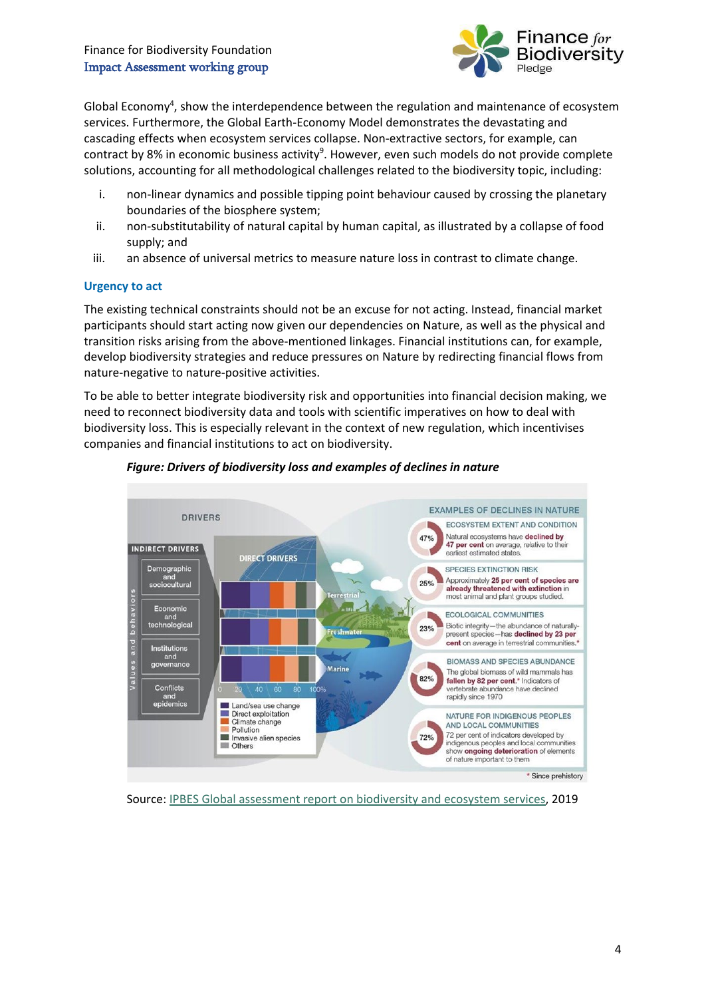# Finance for Biodiversity Foundation Impact Assessment working group



Global Economy<sup>4</sup>, show the interdependence between the regulation and maintenance of ecosystem services. Furthermore, the Global Earth-Economy Model demonstrates the devastating and cascading effects when ecosystem services collapse. Non-extractive sectors, for example, can contract by 8% in economic business activity<sup>9</sup>. However, even such models do not provide complete solutions, accounting for all methodological challenges related to the biodiversity topic, including:

- i. non-linear dynamics and possible tipping point behaviour caused by crossing the planetary boundaries of the biosphere system;
- ii. non-substitutability of natural capital by human capital, as illustrated by a collapse of food supply; and
- iii. an absence of universal metrics to measure nature loss in contrast to climate change.

# **Urgency to act**

The existing technical constraints should not be an excuse for not acting. Instead, financial market participants should start acting now given our dependencies on Nature, as well as the physical and transition risks arising from the above-mentioned linkages. Financial institutions can, for example, develop biodiversity strategies and reduce pressures on Nature by redirecting financial flows from nature-negative to nature-positive activities.

To be able to better integrate biodiversity risk and opportunities into financial decision making, we need to reconnect biodiversity data and tools with scientific imperatives on how to deal with biodiversity loss. This is especially relevant in the context of new regulation, which incentivises companies and financial institutions to act on biodiversity.



# *Figure: Drivers of biodiversity loss and examples of declines in nature*

Source: [IPBES Global assessment report on biodiversity and ecosystem services,](https://ipbes.net/global-assessment) 2019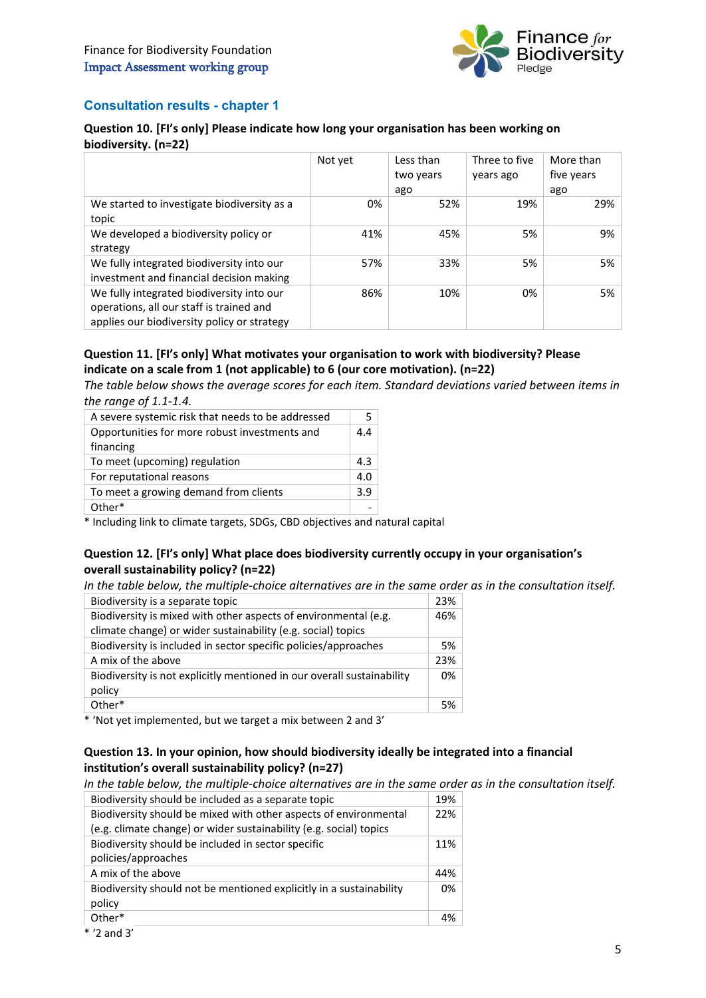

# **Consultation results - chapter 1**

# **Question 10. [FI's only] Please indicate how long your organisation has been working on biodiversity. (n=22)**

|                                                                                                                                      | Not yet | Less than<br>two years | Three to five<br>years ago | More than<br>five years |
|--------------------------------------------------------------------------------------------------------------------------------------|---------|------------------------|----------------------------|-------------------------|
|                                                                                                                                      |         | ago                    |                            | ago                     |
| We started to investigate biodiversity as a<br>topic                                                                                 | 0%      | 52%                    | 19%                        | 29%                     |
| We developed a biodiversity policy or<br>strategy                                                                                    | 41%     | 45%                    | 5%                         | 9%                      |
| We fully integrated biodiversity into our<br>investment and financial decision making                                                | 57%     | 33%                    | 5%                         | 5%                      |
| We fully integrated biodiversity into our<br>operations, all our staff is trained and<br>applies our biodiversity policy or strategy | 86%     | 10%                    | 0%                         | 5%                      |

# **Question 11. [FI's only] What motivates your organisation to work with biodiversity? Please indicate on a scale from 1 (not applicable) to 6 (our core motivation). (n=22)**

*The table below shows the average scores for each item. Standard deviations varied between items in the range of 1.1-1.4.*

| A severe systemic risk that needs to be addressed | 5   |
|---------------------------------------------------|-----|
| Opportunities for more robust investments and     | 44  |
| financing                                         |     |
| To meet (upcoming) regulation                     | 4.3 |
| For reputational reasons                          | 4.0 |
| To meet a growing demand from clients             | 3.9 |
| Other*                                            |     |

\* Including link to climate targets, SDGs, CBD objectives and natural capital

# **Question 12. [FI's only] What place does biodiversity currently occupy in your organisation's overall sustainability policy? (n=22)**

*In the table below, the multiple-choice alternatives are in the same order as in the consultation itself.* 

| Biodiversity is a separate topic                                                 | 23% |
|----------------------------------------------------------------------------------|-----|
| Biodiversity is mixed with other aspects of environmental (e.g.                  | 46% |
| climate change) or wider sustainability (e.g. social) topics                     |     |
| Biodiversity is included in sector specific policies/approaches                  | 5%  |
| A mix of the above                                                               | 23% |
| Biodiversity is not explicitly mentioned in our overall sustainability<br>policy | 0%  |
| Other*                                                                           | 5%  |

\* 'Not yet implemented, but we target a mix between 2 and 3'

# **Question 13. In your opinion, how should biodiversity ideally be integrated into a financial institution's overall sustainability policy? (n=27)**

*In the table below, the multiple-choice alternatives are in the same order as in the consultation itself.*

| Biodiversity should be included as a separate topic                                                                                    | 19% |
|----------------------------------------------------------------------------------------------------------------------------------------|-----|
| Biodiversity should be mixed with other aspects of environmental<br>(e.g. climate change) or wider sustainability (e.g. social) topics | 22% |
| Biodiversity should be included in sector specific<br>policies/approaches                                                              | 11% |
| A mix of the above                                                                                                                     | 44% |
| Biodiversity should not be mentioned explicitly in a sustainability<br>policy                                                          | 0%  |
| Other*                                                                                                                                 | 4%  |

<sup>\* &#</sup>x27;2 and 3'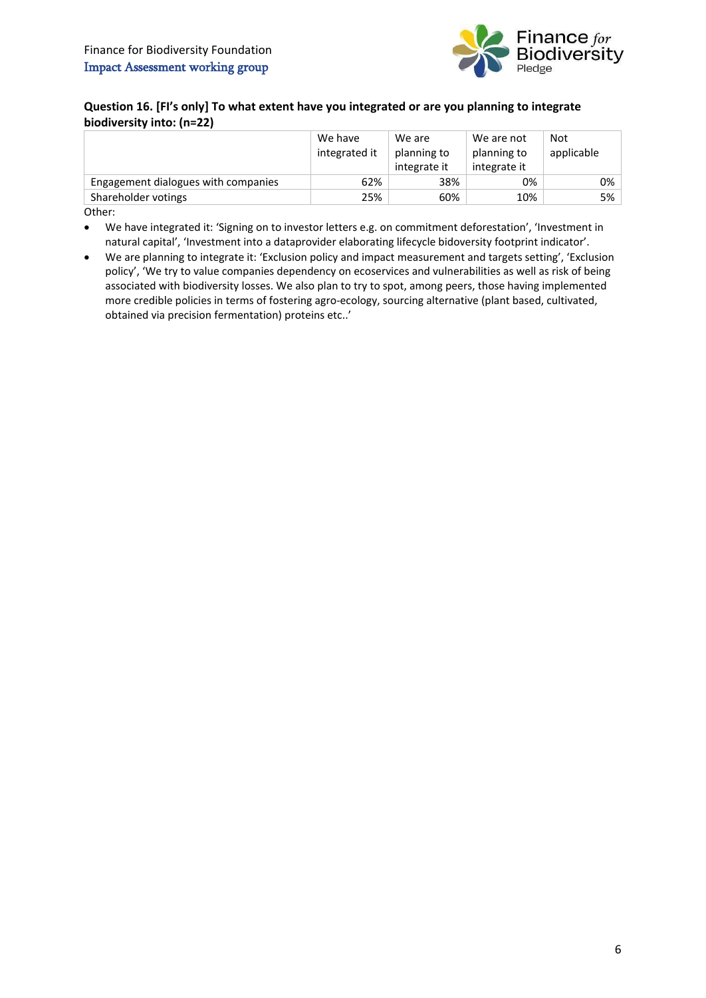

# **Question 16. [FI's only] To what extent have you integrated or are you planning to integrate biodiversity into: (n=22)**

|                                     | We have       | We are       | We are not   | Not        |
|-------------------------------------|---------------|--------------|--------------|------------|
|                                     | integrated it | planning to  | planning to  | applicable |
|                                     |               | integrate it | integrate it |            |
| Engagement dialogues with companies | 62%           | 38%          | 0%           | 0%         |
| Shareholder votings                 | 25%           | 60%          | 10%          | 5%         |

Other:

• We have integrated it: 'Signing on to investor letters e.g. on commitment deforestation', 'Investment in natural capital', 'Investment into a dataprovider elaborating lifecycle bidoversity footprint indicator'.

• We are planning to integrate it: 'Exclusion policy and impact measurement and targets setting', 'Exclusion policy', 'We try to value companies dependency on ecoservices and vulnerabilities as well as risk of being associated with biodiversity losses. We also plan to try to spot, among peers, those having implemented more credible policies in terms of fostering agro-ecology, sourcing alternative (plant based, cultivated, obtained via precision fermentation) proteins etc..'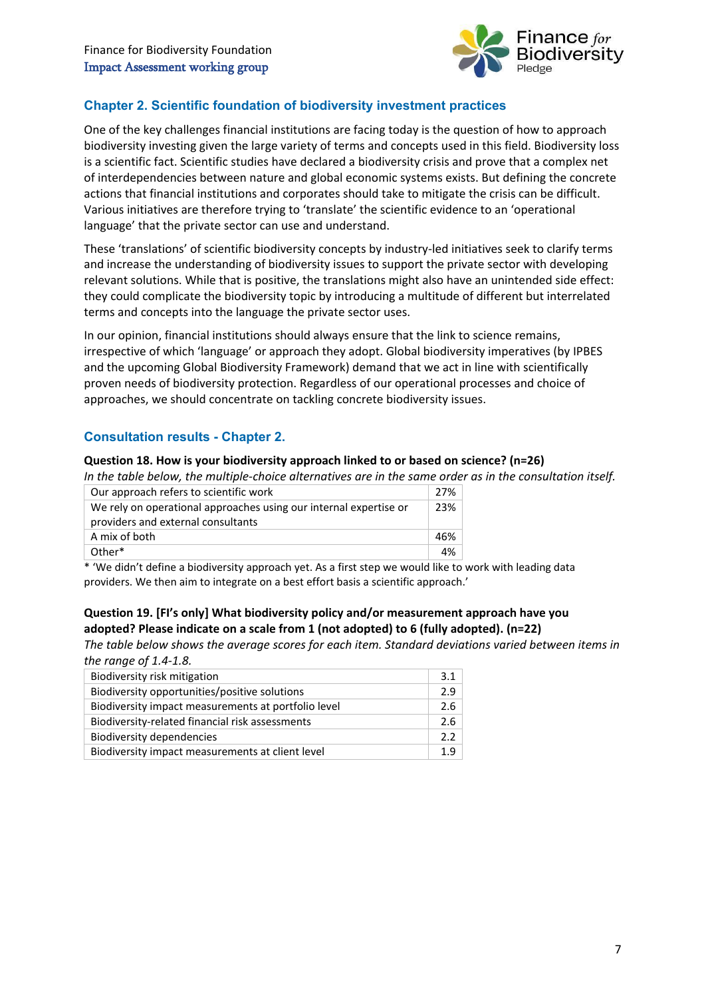

# **Chapter 2. Scientific foundation of biodiversity investment practices**

One of the key challenges financial institutions are facing today is the question of how to approach biodiversity investing given the large variety of terms and concepts used in this field. Biodiversity loss is a scientific fact. Scientific studies have declared a biodiversity crisis and prove that a complex net of interdependencies between nature and global economic systems exists. But defining the concrete actions that financial institutions and corporates should take to mitigate the crisis can be difficult. Various initiatives are therefore trying to 'translate' the scientific evidence to an 'operational language' that the private sector can use and understand.

These 'translations' of scientific biodiversity concepts by industry-led initiatives seek to clarify terms and increase the understanding of biodiversity issues to support the private sector with developing relevant solutions. While that is positive, the translations might also have an unintended side effect: they could complicate the biodiversity topic by introducing a multitude of different but interrelated terms and concepts into the language the private sector uses.

In our opinion, financial institutions should always ensure that the link to science remains, irrespective of which 'language' or approach they adopt. Global biodiversity imperatives (by IPBES and the upcoming Global Biodiversity Framework) demand that we act in line with scientifically proven needs of biodiversity protection. Regardless of our operational processes and choice of approaches, we should concentrate on tackling concrete biodiversity issues.

# **Consultation results - Chapter 2.**

#### **Question 18. How is your biodiversity approach linked to or based on science? (n=26)**

*In the table below, the multiple-choice alternatives are in the same order as in the consultation itself.*

| Our approach refers to scientific work                            | 27% |
|-------------------------------------------------------------------|-----|
| We rely on operational approaches using our internal expertise or | 23% |
| providers and external consultants                                |     |
| A mix of both                                                     | 46% |
| Other*                                                            | 4%  |

\* 'We didn't define a biodiversity approach yet. As a first step we would like to work with leading data providers. We then aim to integrate on a best effort basis a scientific approach.'

# **Question 19. [FI's only] What biodiversity policy and/or measurement approach have you adopted? Please indicate on a scale from 1 (not adopted) to 6 (fully adopted). (n=22)**

*The table below shows the average scores for each item. Standard deviations varied between items in the range of 1.4-1.8.*

| 3.1 |
|-----|
| 2.9 |
| 2.6 |
| 2.6 |
| 22  |
| 1.9 |
|     |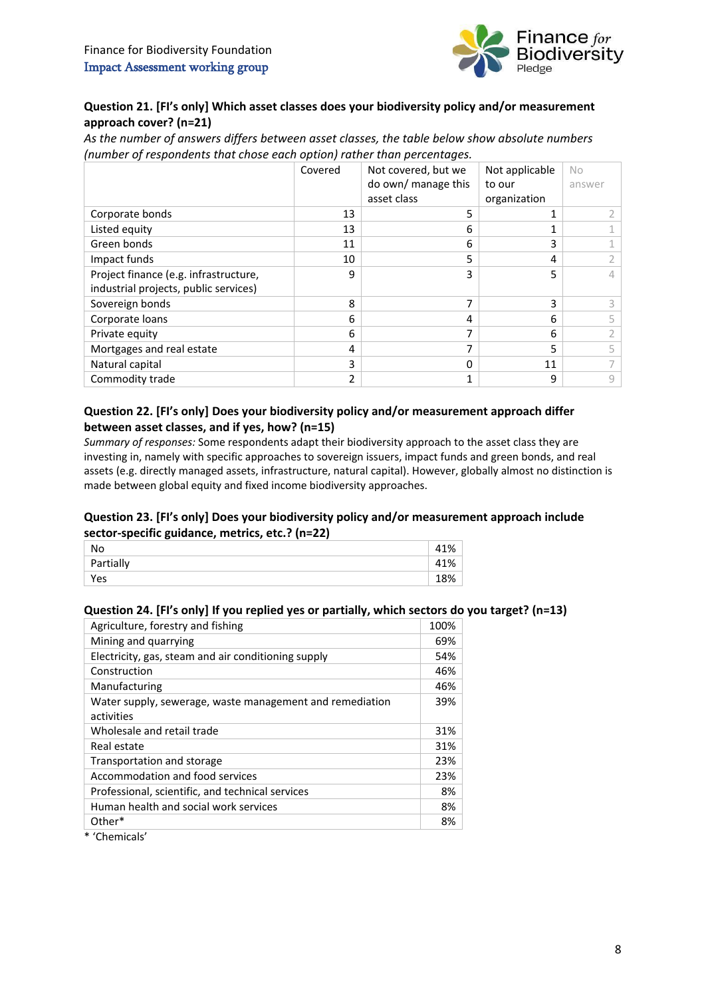

# **Question 21. [FI's only] Which asset classes does your biodiversity policy and/or measurement approach cover? (n=21)**

*As the number of answers differs between asset classes, the table below show absolute numbers (number of respondents that chose each option) rather than percentages.*

|                                       | Covered       | Not covered, but we | Not applicable | No     |
|---------------------------------------|---------------|---------------------|----------------|--------|
|                                       |               | do own/ manage this | to our         | answer |
|                                       |               | asset class         | organization   |        |
| Corporate bonds                       | 13            | 5                   |                |        |
| Listed equity                         | 13            | 6                   |                |        |
| Green bonds                           | 11            | 6                   |                |        |
| Impact funds                          | 10            | 5                   | 4              |        |
| Project finance (e.g. infrastructure, | ٩             | 3                   |                | 4      |
| industrial projects, public services) |               |                     |                |        |
| Sovereign bonds                       | 8             | ⇁                   | 3              |        |
| Corporate loans                       | 6             | 4                   | 6              |        |
| Private equity                        | 6             |                     | 6              |        |
| Mortgages and real estate             | 4             | 7                   | 5              |        |
| Natural capital                       | 3             | 0                   | 11             |        |
| Commodity trade                       | $\mathfrak z$ |                     | 9              | 9      |

# **Question 22. [FI's only] Does your biodiversity policy and/or measurement approach differ between asset classes, and if yes, how? (n=15)**

*Summary of responses:* Some respondents adapt their biodiversity approach to the asset class they are investing in, namely with specific approaches to sovereign issuers, impact funds and green bonds, and real assets (e.g. directly managed assets, infrastructure, natural capital). However, globally almost no distinction is made between global equity and fixed income biodiversity approaches.

# **Question 23. [FI's only] Does your biodiversity policy and/or measurement approach include sector-specific guidance, metrics, etc.? (n=22)**

| No        |     |
|-----------|-----|
| Partially | 41% |
| Yes       | 18% |

# **Question 24. [FI's only] If you replied yes or partially, which sectors do you target? (n=13)**

| Agriculture, forestry and fishing                        | 100% |
|----------------------------------------------------------|------|
| Mining and quarrying                                     | 69%  |
| Electricity, gas, steam and air conditioning supply      | 54%  |
| Construction                                             | 46%  |
| Manufacturing                                            | 46%  |
| Water supply, sewerage, waste management and remediation | 39%  |
| activities                                               |      |
| Wholesale and retail trade                               | 31%  |
| Real estate                                              | 31%  |
| Transportation and storage                               | 23%  |
| Accommodation and food services                          | 23%  |
| Professional, scientific, and technical services         | 8%   |
| Human health and social work services                    | 8%   |
| Other*                                                   | 8%   |

\* 'Chemicals'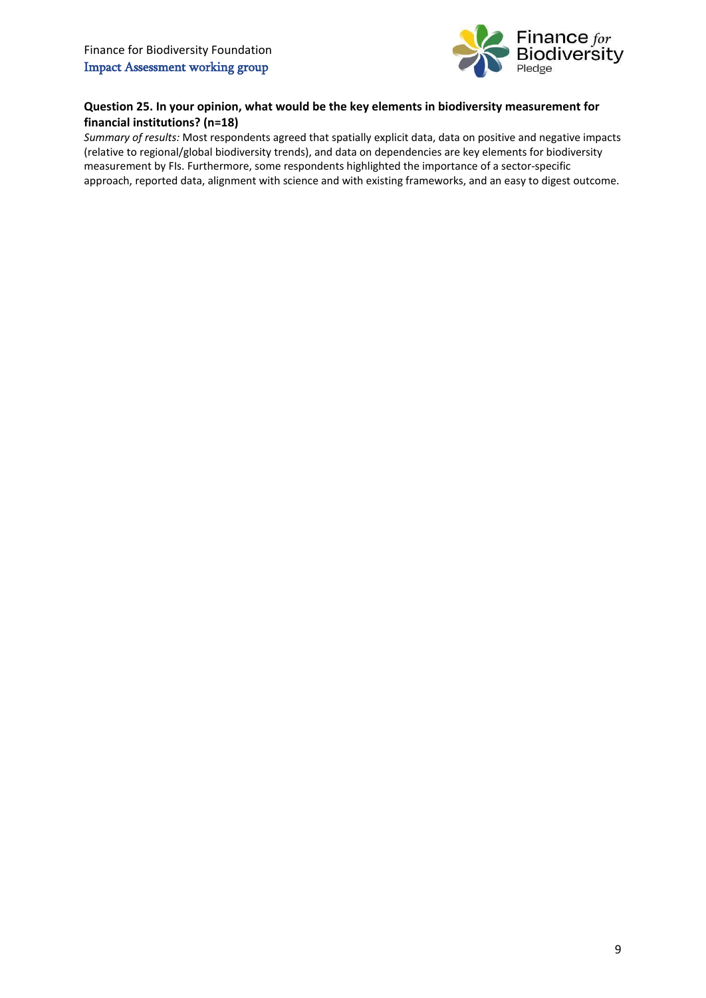

# **Question 25. In your opinion, what would be the key elements in biodiversity measurement for financial institutions? (n=18)**

*Summary of results:* Most respondents agreed that spatially explicit data, data on positive and negative impacts (relative to regional/global biodiversity trends), and data on dependencies are key elements for biodiversity measurement by FIs. Furthermore, some respondents highlighted the importance of a sector-specific approach, reported data, alignment with science and with existing frameworks, and an easy to digest outcome.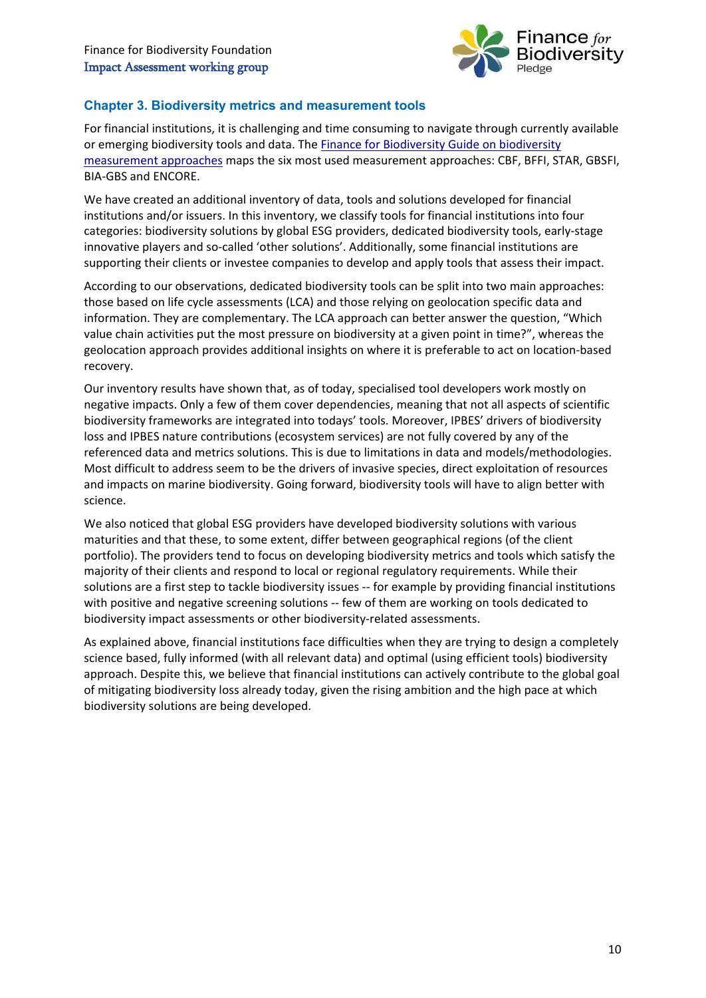

# **Chapter 3. Biodiversity metrics and measurement tools**

For financial institutions, it is challenging and time consuming to navigate through currently available or emerging biodiversity tools and data. Th[e Finance for Biodiversity Guide on biodiversity](https://www.financeforbiodiversity.org/wp-content/uploads/Finance-for-Biodiversity_Guide-on-biodiversity-measurement-approaches.pdf)  [measurement approaches](https://www.financeforbiodiversity.org/wp-content/uploads/Finance-for-Biodiversity_Guide-on-biodiversity-measurement-approaches.pdf) maps the six most used measurement approaches: CBF, BFFI, STAR, GBSFI, BIA-GBS and ENCORE.

We have created an additional inventory of data, tools and solutions developed for financial institutions and/or issuers. In this inventory, we classify tools for financial institutions into four categories: biodiversity solutions by global ESG providers, dedicated biodiversity tools, early-stage innovative players and so-called 'other solutions'. Additionally, some financial institutions are supporting their clients or investee companies to develop and apply tools that assess their impact.

According to our observations, dedicated biodiversity tools can be split into two main approaches: those based on life cycle assessments (LCA) and those relying on geolocation specific data and information. They are complementary. The LCA approach can better answer the question, "Which value chain activities put the most pressure on biodiversity at a given point in time?", whereas the geolocation approach provides additional insights on where it is preferable to act on location-based recovery.

Our inventory results have shown that, as of today, specialised tool developers work mostly on negative impacts. Only a few of them cover dependencies, meaning that not all aspects of scientific biodiversity frameworks are integrated into todays' tools. Moreover, IPBES' drivers of biodiversity loss and IPBES nature contributions (ecosystem services) are not fully covered by any of the referenced data and metrics solutions. This is due to limitations in data and models/methodologies. Most difficult to address seem to be the drivers of invasive species, direct exploitation of resources and impacts on marine biodiversity. Going forward, biodiversity tools will have to align better with science.

We also noticed that global ESG providers have developed biodiversity solutions with various maturities and that these, to some extent, differ between geographical regions (of the client portfolio). The providers tend to focus on developing biodiversity metrics and tools which satisfy the majority of their clients and respond to local or regional regulatory requirements. While their solutions are a first step to tackle biodiversity issues -- for example by providing financial institutions with positive and negative screening solutions -- few of them are working on tools dedicated to biodiversity impact assessments or other biodiversity-related assessments.

As explained above, financial institutions face difficulties when they are trying to design a completely science based, fully informed (with all relevant data) and optimal (using efficient tools) biodiversity approach. Despite this, we believe that financial institutions can actively contribute to the global goal of mitigating biodiversity loss already today, given the rising ambition and the high pace at which biodiversity solutions are being developed.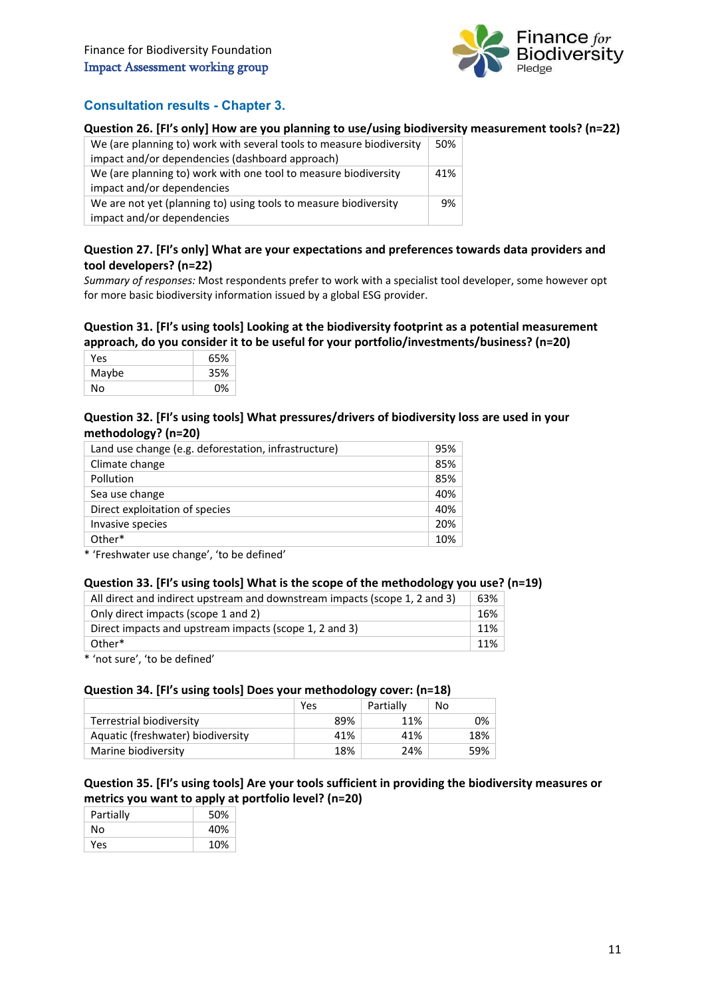

# **Consultation results - Chapter 3.**

#### **Question 26. [FI's only] How are you planning to use/using biodiversity measurement tools? (n=22)**

| We (are planning to) work with several tools to measure biodiversity<br>impact and/or dependencies (dashboard approach) | 50% |
|-------------------------------------------------------------------------------------------------------------------------|-----|
| We (are planning to) work with one tool to measure biodiversity<br>impact and/or dependencies                           | 41% |
| We are not yet (planning to) using tools to measure biodiversity<br>impact and/or dependencies                          | 9%  |

#### **Question 27. [FI's only] What are your expectations and preferences towards data providers and tool developers? (n=22)**

*Summary of responses:* Most respondents prefer to work with a specialist tool developer, some however opt for more basic biodiversity information issued by a global ESG provider.

#### **Question 31. [FI's using tools] Looking at the biodiversity footprint as a potential measurement approach, do you consider it to be useful for your portfolio/investments/business? (n=20)**

| Yes   | 65% |
|-------|-----|
| Maybe | 35% |
| No    | 0%  |

#### **Question 32. [FI's using tools] What pressures/drivers of biodiversity loss are used in your methodology? (n=20)**

| Land use change (e.g. deforestation, infrastructure) | 95% |
|------------------------------------------------------|-----|
| Climate change                                       | 85% |
| Pollution                                            | 85% |
| Sea use change                                       | 40% |
| Direct exploitation of species                       | 40% |
| Invasive species                                     | 20% |
| Other*                                               | 10% |

\* 'Freshwater use change', 'to be defined'

#### **Question 33. [FI's using tools] What is the scope of the methodology you use? (n=19)**

| All direct and indirect upstream and downstream impacts (scope 1, 2 and 3) | 63% |
|----------------------------------------------------------------------------|-----|
| Only direct impacts (scope 1 and 2)                                        | 16% |
| Direct impacts and upstream impacts (scope 1, 2 and 3)                     | 11% |
| Other*                                                                     | 11% |
|                                                                            |     |

\* 'not sure', 'to be defined'

#### **Question 34. [FI's using tools] Does your methodology cover: (n=18)**

|                                   | Yes | Partially | No   |
|-----------------------------------|-----|-----------|------|
| Terrestrial biodiversity          | 89% | 11%       | 0% l |
| Aquatic (freshwater) biodiversity | 41% | 41%       | 18%  |
| Marine biodiversity               | 18% | 24%       | 59%  |

### **Question 35. [FI's using tools] Are your tools sufficient in providing the biodiversity measures or metrics you want to apply at portfolio level? (n=20)**

| Partially | 50% |
|-----------|-----|
| N٥        | 40% |
| Yes       | 10% |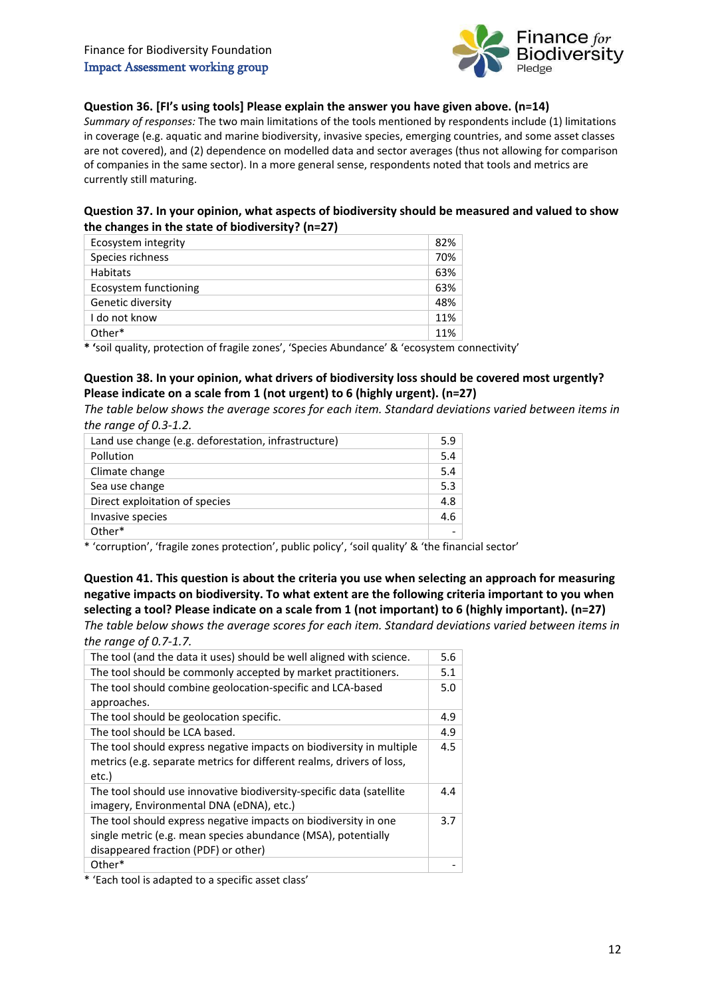

## **Question 36. [FI's using tools] Please explain the answer you have given above. (n=14)**

*Summary of responses:* The two main limitations of the tools mentioned by respondents include (1) limitations in coverage (e.g. aquatic and marine biodiversity, invasive species, emerging countries, and some asset classes are not covered), and (2) dependence on modelled data and sector averages (thus not allowing for comparison of companies in the same sector). In a more general sense, respondents noted that tools and metrics are currently still maturing.

# **Question 37. In your opinion, what aspects of biodiversity should be measured and valued to show the changes in the state of biodiversity? (n=27)**

| Ecosystem integrity   | 82% |
|-----------------------|-----|
| Species richness      | 70% |
| Habitats              | 63% |
| Ecosystem functioning | 63% |
| Genetic diversity     | 48% |
| I do not know         | 11% |
| Other*                | 11% |

**\* '**soil quality, protection of fragile zones', 'Species Abundance' & 'ecosystem connectivity'

# **Question 38. In your opinion, what drivers of biodiversity loss should be covered most urgently? Please indicate on a scale from 1 (not urgent) to 6 (highly urgent). (n=27)**

*The table below shows the average scores for each item. Standard deviations varied between items in the range of 0.3-1.2.*

| Land use change (e.g. deforestation, infrastructure) | 5.9 |
|------------------------------------------------------|-----|
| Pollution                                            | 5.4 |
| Climate change                                       | 5.4 |
| Sea use change                                       | 5.3 |
| Direct exploitation of species                       | 4.8 |
| Invasive species                                     | 4.6 |
| Other*                                               |     |

\* 'corruption', 'fragile zones protection', public policy', 'soil quality' & 'the financial sector'

**Question 41. This question is about the criteria you use when selecting an approach for measuring negative impacts on biodiversity. To what extent are the following criteria important to you when selecting a tool? Please indicate on a scale from 1 (not important) to 6 (highly important). (n=27)**

*The table below shows the average scores for each item. Standard deviations varied between items in the range of 0.7-1.7.*

| The tool (and the data it uses) should be well aligned with science.                                                                                                     | 5.6 |
|--------------------------------------------------------------------------------------------------------------------------------------------------------------------------|-----|
| The tool should be commonly accepted by market practitioners.                                                                                                            | 5.1 |
| The tool should combine geolocation-specific and LCA-based                                                                                                               | 5.0 |
| approaches.                                                                                                                                                              |     |
| The tool should be geolocation specific.                                                                                                                                 | 4.9 |
| The tool should be LCA based.                                                                                                                                            | 4.9 |
| The tool should express negative impacts on biodiversity in multiple<br>metrics (e.g. separate metrics for different realms, drivers of loss,<br>etc.)                   | 4.5 |
| The tool should use innovative biodiversity-specific data (satellite<br>imagery, Environmental DNA (eDNA), etc.)                                                         | 4.4 |
| The tool should express negative impacts on biodiversity in one<br>single metric (e.g. mean species abundance (MSA), potentially<br>disappeared fraction (PDF) or other) | 3.7 |
| Other*                                                                                                                                                                   |     |

\* 'Each tool is adapted to a specific asset class'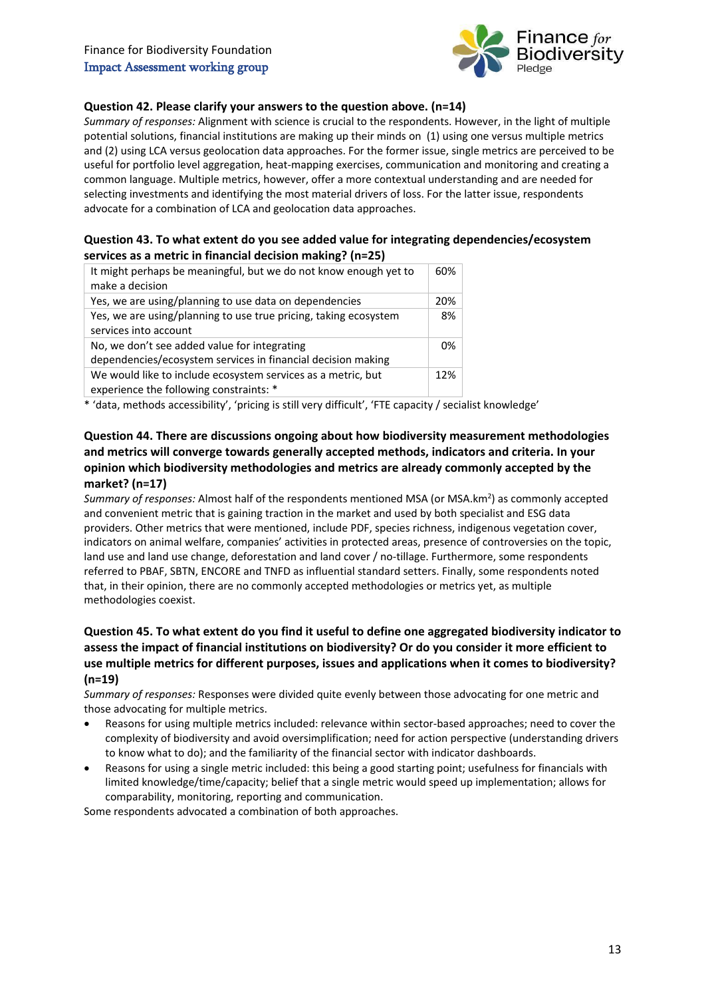

#### **Question 42. Please clarify your answers to the question above. (n=14)**

*Summary of responses:* Alignment with science is crucial to the respondents. However, in the light of multiple potential solutions, financial institutions are making up their minds on (1) using one versus multiple metrics and (2) using LCA versus geolocation data approaches. For the former issue, single metrics are perceived to be useful for portfolio level aggregation, heat-mapping exercises, communication and monitoring and creating a common language. Multiple metrics, however, offer a more contextual understanding and are needed for selecting investments and identifying the most material drivers of loss. For the latter issue, respondents advocate for a combination of LCA and geolocation data approaches.

#### **Question 43. To what extent do you see added value for integrating dependencies/ecosystem services as a metric in financial decision making? (n=25)**

| It might perhaps be meaningful, but we do not know enough yet to<br>make a decision                          | 60% |
|--------------------------------------------------------------------------------------------------------------|-----|
| Yes, we are using/planning to use data on dependencies                                                       | 20% |
| Yes, we are using/planning to use true pricing, taking ecosystem<br>services into account                    | 8%  |
| No, we don't see added value for integrating<br>dependencies/ecosystem services in financial decision making | 0%  |
| We would like to include ecosystem services as a metric, but<br>experience the following constraints: *      | 12% |

\* 'data, methods accessibility', 'pricing is still very difficult', 'FTE capacity / secialist knowledge'

# **Question 44. There are discussions ongoing about how biodiversity measurement methodologies and metrics will converge towards generally accepted methods, indicators and criteria. In your opinion which biodiversity methodologies and metrics are already commonly accepted by the market? (n=17)**

Summary of responses: Almost half of the respondents mentioned MSA (or MSA.km<sup>2</sup>) as commonly accepted and convenient metric that is gaining traction in the market and used by both specialist and ESG data providers. Other metrics that were mentioned, include PDF, species richness, indigenous vegetation cover, indicators on animal welfare, companies' activities in protected areas, presence of controversies on the topic, land use and land use change, deforestation and land cover / no-tillage. Furthermore, some respondents referred to PBAF, SBTN, ENCORE and TNFD as influential standard setters. Finally, some respondents noted that, in their opinion, there are no commonly accepted methodologies or metrics yet, as multiple methodologies coexist.

# **Question 45. To what extent do you find it useful to define one aggregated biodiversity indicator to assess the impact of financial institutions on biodiversity? Or do you consider it more efficient to use multiple metrics for different purposes, issues and applications when it comes to biodiversity? (n=19)**

*Summary of responses:* Responses were divided quite evenly between those advocating for one metric and those advocating for multiple metrics.

- Reasons for using multiple metrics included: relevance within sector-based approaches; need to cover the complexity of biodiversity and avoid oversimplification; need for action perspective (understanding drivers to know what to do); and the familiarity of the financial sector with indicator dashboards.
- Reasons for using a single metric included: this being a good starting point; usefulness for financials with limited knowledge/time/capacity; belief that a single metric would speed up implementation; allows for comparability, monitoring, reporting and communication.

Some respondents advocated a combination of both approaches.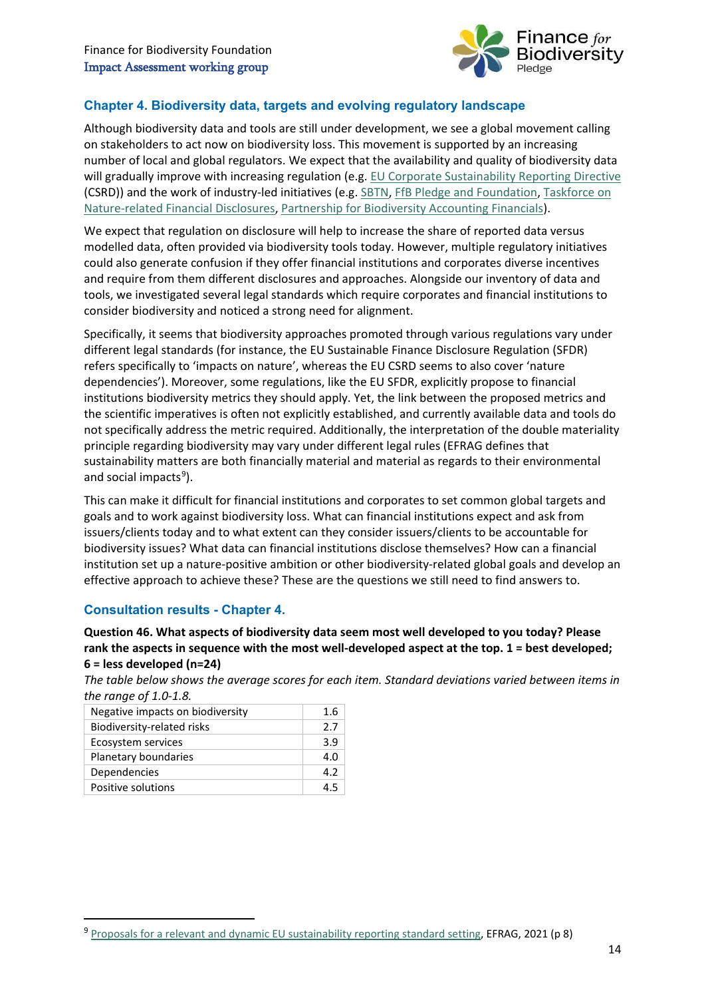

# **Chapter 4. Biodiversity data, targets and evolving regulatory landscape**

Although biodiversity data and tools are still under development, we see a global movement calling on stakeholders to act now on biodiversity loss. This movement is supported by an increasing number of local and global regulators. We expect that the availability and quality of biodiversity data will gradually improve with increasing regulation (e.g. [EU Corporate Sustainability Reporting Directive](https://ec.europa.eu/info/publications/210421-sustainable-finance-communication_en#csrd) (CSRD)) and the work of industry-led initiatives (e.g. [SBTN,](https://sciencebasedtargetsnetwork.org/) [FfB Pledge and Foundation,](https://financeforbiodiversity.org/) [Taskforce on](https://tnfd.global/)  [Nature-related Financial Disclosures,](https://tnfd.global/) [Partnership for Biodiversity Accounting Financials\)](https://www.pbafglobal.com/page/about-pbaf).

We expect that regulation on disclosure will help to increase the share of reported data versus modelled data, often provided via biodiversity tools today. However, multiple regulatory initiatives could also generate confusion if they offer financial institutions and corporates diverse incentives and require from them different disclosures and approaches. Alongside our inventory of data and tools, we investigated several legal standards which require corporates and financial institutions to consider biodiversity and noticed a strong need for alignment.

Specifically, it seems that biodiversity approaches promoted through various regulations vary under different legal standards (for instance, the EU Sustainable Finance Disclosure Regulation (SFDR) refers specifically to 'impacts on nature', whereas the EU CSRD seems to also cover 'nature dependencies'). Moreover, some regulations, like the EU SFDR, explicitly propose to financial institutions biodiversity metrics they should apply. Yet, the link between the proposed metrics and the scientific imperatives is often not explicitly established, and currently available data and tools do not specifically address the metric required. Additionally, the interpretation of the double materiality principle regarding biodiversity may vary under different legal rules (EFRAG defines that sustainability matters are both financially material and material as regards to their environmental and social impacts<sup>[9](#page-13-0)</sup>).

This can make it difficult for financial institutions and corporates to set common global targets and goals and to work against biodiversity loss. What can financial institutions expect and ask from issuers/clients today and to what extent can they consider issuers/clients to be accountable for biodiversity issues? What data can financial institutions disclose themselves? How can a financial institution set up a nature-positive ambition or other biodiversity-related global goals and develop an effective approach to achieve these? These are the questions we still need to find answers to.

# **Consultation results - Chapter 4.**

**.** 

**Question 46. What aspects of biodiversity data seem most well developed to you today? Please rank the aspects in sequence with the most well-developed aspect at the top. 1 = best developed; 6 = less developed (n=24)**

*The table below shows the average scores for each item. Standard deviations varied between items in the range of 1.0-1.8.*

| 1.6 |
|-----|
| 27  |
| 3.9 |
| 4.0 |
| 42  |
| 4 5 |
|     |

<span id="page-13-0"></span><sup>9</sup> [Proposals for a relevant and dynamic EU sustainability reporting standard setting,](https://ec.europa.eu/info/sites/default/files/business_economy_euro/banking_and_finance/documents/210308-report-efrag-sustainability-reporting-standard-setting_en.pdf) EFRAG, 2021 (p 8)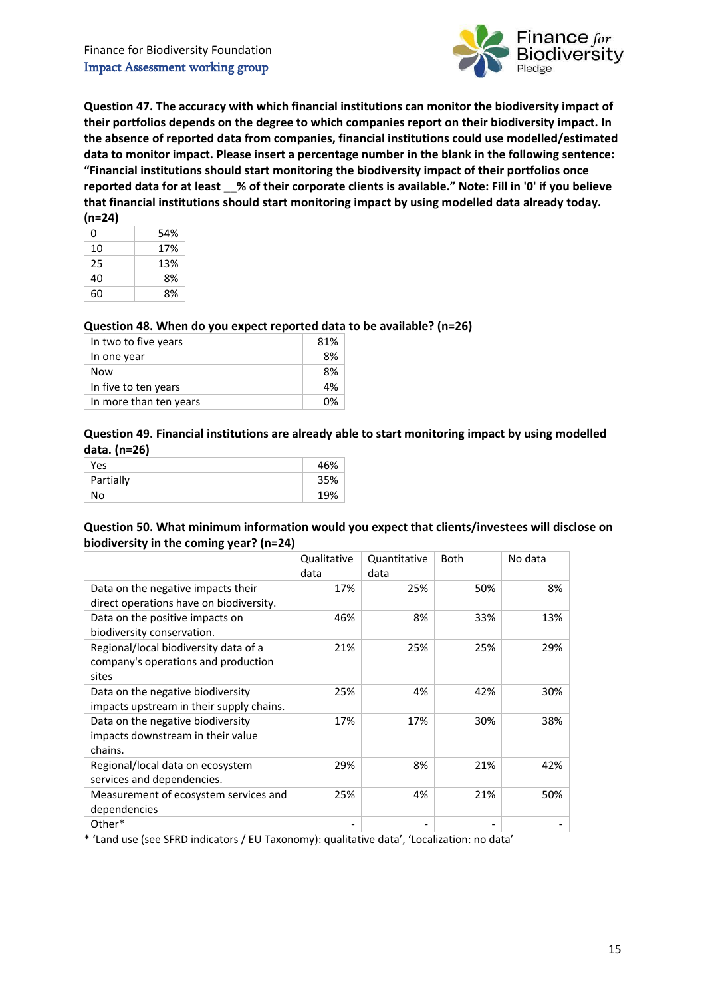

**Question 47. The accuracy with which financial institutions can monitor the biodiversity impact of their portfolios depends on the degree to which companies report on their biodiversity impact. In the absence of reported data from companies, financial institutions could use modelled/estimated data to monitor impact. Please insert a percentage number in the blank in the following sentence: "Financial institutions should start monitoring the biodiversity impact of their portfolios once reported data for at least \_\_% of their corporate clients is available." Note: Fill in '0' if you believe that financial institutions should start monitoring impact by using modelled data already today. (n=24)**

| ,,,,,,, |     |
|---------|-----|
| ი       | 54% |
| 10      | 17% |
| 25      | 13% |
| 40      | 8%  |
| 60      | 8%  |

### **Question 48. When do you expect reported data to be available? (n=26)**

| In two to five years   | 81% |
|------------------------|-----|
| In one year            | 8%  |
| Now                    | 8%  |
| In five to ten years   | 4%  |
| In more than ten years | በ%  |

## **Question 49. Financial institutions are already able to start monitoring impact by using modelled data. (n=26)**

| Yes       | 46% |
|-----------|-----|
| Partially | 35% |
| No        | 19% |

### **Question 50. What minimum information would you expect that clients/investees will disclose on biodiversity in the coming year? (n=24)**

|                                                               | Qualitative<br>data | Quantitative<br>data | <b>Both</b> | No data |
|---------------------------------------------------------------|---------------------|----------------------|-------------|---------|
| Data on the negative impacts their                            | 17%                 | 25%                  | 50%         | 8%      |
| direct operations have on biodiversity.                       |                     |                      |             |         |
| Data on the positive impacts on<br>biodiversity conservation. | 46%                 | 8%                   | 33%         | 13%     |
| Regional/local biodiversity data of a                         | 21%                 | 25%                  | 25%         | 29%     |
| company's operations and production<br>sites                  |                     |                      |             |         |
| Data on the negative biodiversity                             | 25%                 | 4%                   | 42%         | 30%     |
| impacts upstream in their supply chains.                      |                     |                      |             |         |
| Data on the negative biodiversity                             | 17%                 | 17%                  | 30%         | 38%     |
| impacts downstream in their value                             |                     |                      |             |         |
| chains.                                                       |                     |                      |             |         |
| Regional/local data on ecosystem                              | 29%                 | 8%                   | 21%         | 42%     |
| services and dependencies.                                    |                     |                      |             |         |
| Measurement of ecosystem services and                         | 25%                 | 4%                   | 21%         | 50%     |
| dependencies                                                  |                     |                      |             |         |
| Other*                                                        |                     |                      |             |         |

\* 'Land use (see SFRD indicators / EU Taxonomy): qualitative data', 'Localization: no data'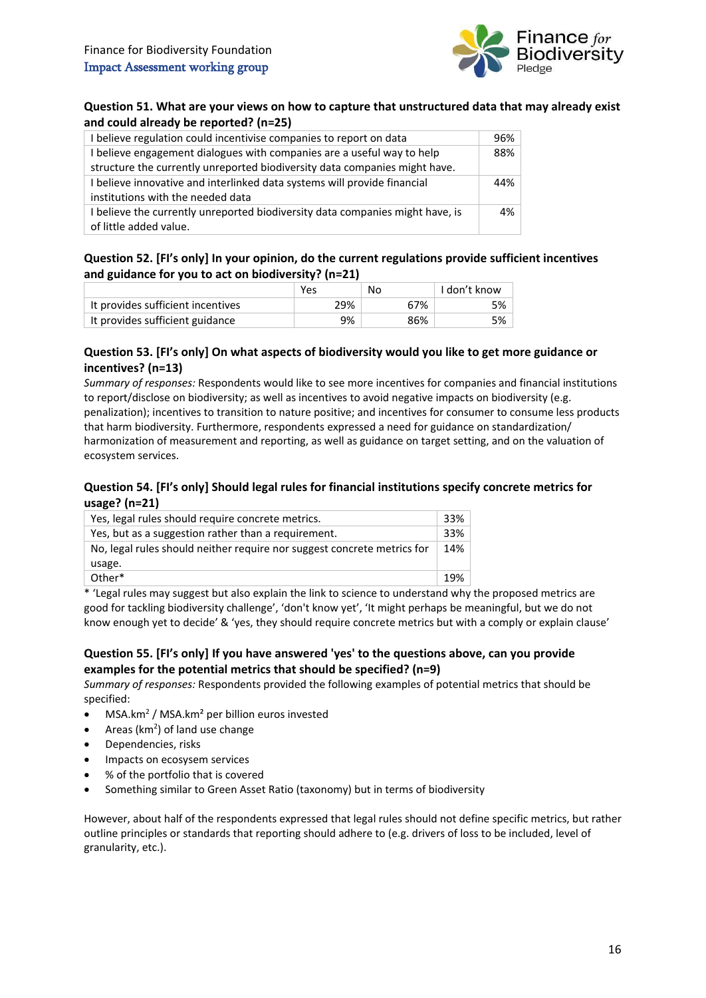

#### **Question 51. What are your views on how to capture that unstructured data that may already exist and could already be reported? (n=25)**

| I believe regulation could incentivise companies to report on data            | 96%   |
|-------------------------------------------------------------------------------|-------|
| I believe engagement dialogues with companies are a useful way to help        | 88%   |
| structure the currently unreported biodiversity data companies might have.    |       |
| I believe innovative and interlinked data systems will provide financial      | 44%   |
| institutions with the needed data                                             |       |
| I believe the currently unreported biodiversity data companies might have, is | $4\%$ |
| of little added value.                                                        |       |

# **Question 52. [FI's only] In your opinion, do the current regulations provide sufficient incentives and guidance for you to act on biodiversity? (n=21)**

|                                   | Yes | No  | I don't know |
|-----------------------------------|-----|-----|--------------|
| It provides sufficient incentives | 29% | 67% | 5%           |
| It provides sufficient guidance   | 9%  | 86% | 5%           |

### **Question 53. [FI's only] On what aspects of biodiversity would you like to get more guidance or incentives? (n=13)**

*Summary of responses:* Respondents would like to see more incentives for companies and financial institutions to report/disclose on biodiversity; as well as incentives to avoid negative impacts on biodiversity (e.g. penalization); incentives to transition to nature positive; and incentives for consumer to consume less products that harm biodiversity. Furthermore, respondents expressed a need for guidance on standardization/ harmonization of measurement and reporting, as well as guidance on target setting, and on the valuation of ecosystem services.

# **Question 54. [FI's only] Should legal rules for financial institutions specify concrete metrics for usage? (n=21)**

| Yes, legal rules should require concrete metrics.                                                          | 33% |  |  |
|------------------------------------------------------------------------------------------------------------|-----|--|--|
| Yes, but as a suggestion rather than a requirement.                                                        | 33% |  |  |
| No, legal rules should neither require nor suggest concrete metrics for                                    | 14% |  |  |
| usage.                                                                                                     |     |  |  |
| Other*                                                                                                     | 19% |  |  |
| ★ fi cool delegación de constantina de la constata de al Roleira de constantina de constantina de la citat |     |  |  |

\* 'Legal rules may suggest but also explain the link to science to understand why the proposed metrics are good for tackling biodiversity challenge', 'don't know yet', 'It might perhaps be meaningful, but we do not know enough yet to decide' & 'yes, they should require concrete metrics but with a comply or explain clause'

### **Question 55. [FI's only] If you have answered 'yes' to the questions above, can you provide examples for the potential metrics that should be specified? (n=9)**

*Summary of responses:* Respondents provided the following examples of potential metrics that should be specified:

- MSA.km<sup>2</sup> / MSA.km<sup>2</sup> per billion euros invested
- Areas ( $km<sup>2</sup>$ ) of land use change
- Dependencies, risks
- Impacts on ecosysem services
- % of the portfolio that is covered
- Something similar to Green Asset Ratio (taxonomy) but in terms of biodiversity

However, about half of the respondents expressed that legal rules should not define specific metrics, but rather outline principles or standards that reporting should adhere to (e.g. drivers of loss to be included, level of granularity, etc.).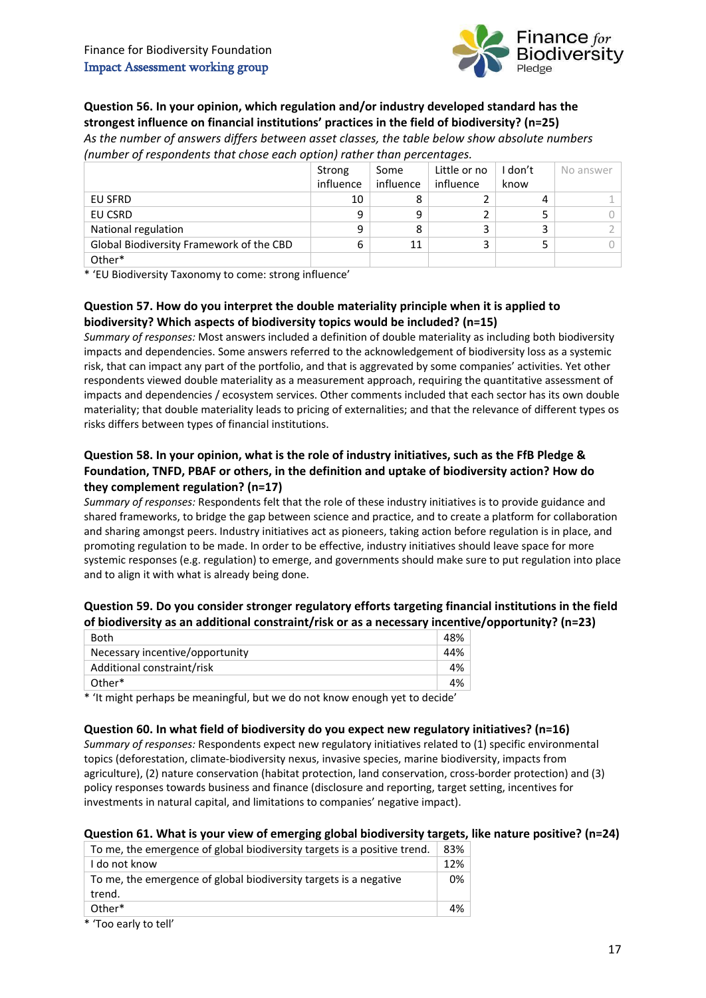

# **Question 56. In your opinion, which regulation and/or industry developed standard has the strongest influence on financial institutions' practices in the field of biodiversity? (n=25)**

*As the number of answers differs between asset classes, the table below show absolute numbers (number of respondents that chose each option) rather than percentages.*

|                                          | Strong    | Some      | Little or no | I don't | No answer |
|------------------------------------------|-----------|-----------|--------------|---------|-----------|
|                                          | influence | influence | influence    | know    |           |
| EU SFRD                                  | 10        | 8         |              | 4       |           |
| EU CSRD                                  | 9         | 9         |              |         |           |
| National regulation                      | 9         | 8         |              |         |           |
| Global Biodiversity Framework of the CBD | 6         | 11        | 3            |         |           |
| Other*                                   |           |           |              |         |           |

\* 'EU Biodiversity Taxonomy to come: strong influence'

# **Question 57. How do you interpret the double materiality principle when it is applied to biodiversity? Which aspects of biodiversity topics would be included? (n=15)**

*Summary of responses:* Most answers included a definition of double materiality as including both biodiversity impacts and dependencies. Some answers referred to the acknowledgement of biodiversity loss as a systemic risk, that can impact any part of the portfolio, and that is aggrevated by some companies' activities. Yet other respondents viewed double materiality as a measurement approach, requiring the quantitative assessment of impacts and dependencies / ecosystem services. Other comments included that each sector has its own double materiality; that double materiality leads to pricing of externalities; and that the relevance of different types os risks differs between types of financial institutions.

# **Question 58. In your opinion, what is the role of industry initiatives, such as the FfB Pledge & Foundation, TNFD, PBAF or others, in the definition and uptake of biodiversity action? How do they complement regulation? (n=17)**

*Summary of responses:* Respondents felt that the role of these industry initiatives is to provide guidance and shared frameworks, to bridge the gap between science and practice, and to create a platform for collaboration and sharing amongst peers. Industry initiatives act as pioneers, taking action before regulation is in place, and promoting regulation to be made. In order to be effective, industry initiatives should leave space for more systemic responses (e.g. regulation) to emerge, and governments should make sure to put regulation into place and to align it with what is already being done.

# **Question 59. Do you consider stronger regulatory efforts targeting financial institutions in the field of biodiversity as an additional constraint/risk or as a necessary incentive/opportunity? (n=23)**

| Both                            | 48% |
|---------------------------------|-----|
| Necessary incentive/opportunity | 44% |
| Additional constraint/risk      | 4%  |
| Other*                          | 4%  |

\* 'It might perhaps be meaningful, but we do not know enough yet to decide'

#### **Question 60. In what field of biodiversity do you expect new regulatory initiatives? (n=16)**

*Summary of responses:* Respondents expect new regulatory initiatives related to (1) specific environmental topics (deforestation, climate-biodiversity nexus, invasive species, marine biodiversity, impacts from agriculture), (2) nature conservation (habitat protection, land conservation, cross-border protection) and (3) policy responses towards business and finance (disclosure and reporting, target setting, incentives for investments in natural capital, and limitations to companies' negative impact).

#### **Question 61. What is your view of emerging global biodiversity targets, like nature positive? (n=24)**

| To me, the emergence of global biodiversity targets is a positive trend.      | 83% |
|-------------------------------------------------------------------------------|-----|
| I do not know                                                                 | 12% |
| To me, the emergence of global biodiversity targets is a negative<br>trend.   | 0%  |
| Other*                                                                        | 4%  |
| $*$ $T_{00}$ $\alpha$ $\alpha$ $\beta$ $\mu$ $\beta$ $\alpha$ $\beta$ $\beta$ |     |

Too early to tell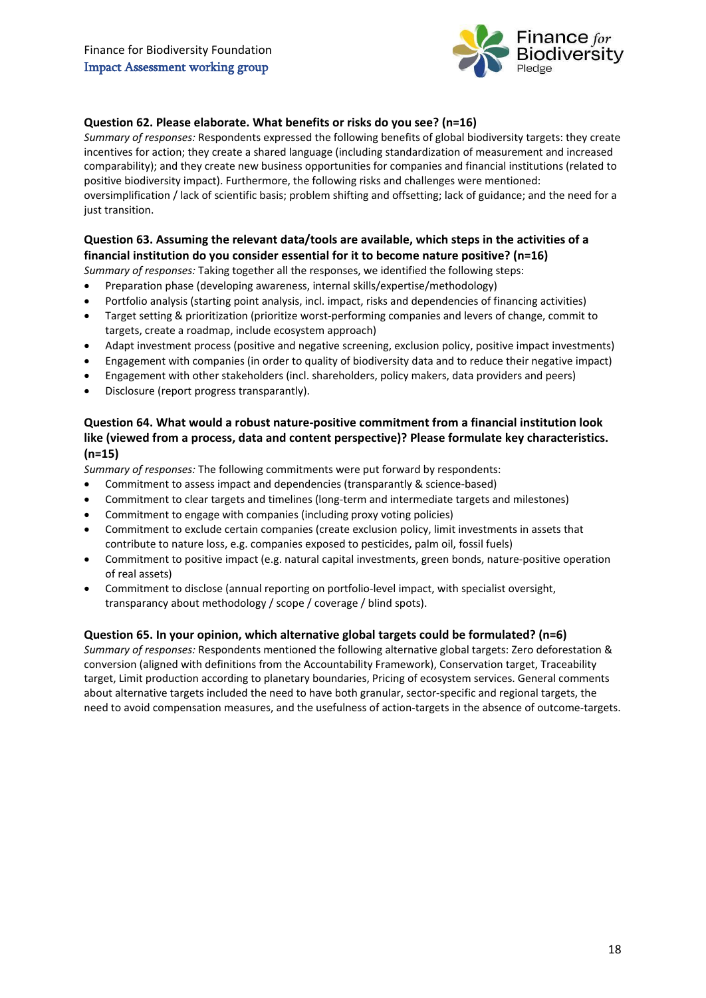

# **Question 62. Please elaborate. What benefits or risks do you see? (n=16)**

*Summary of responses:* Respondents expressed the following benefits of global biodiversity targets: they create incentives for action; they create a shared language (including standardization of measurement and increased comparability); and they create new business opportunities for companies and financial institutions (related to positive biodiversity impact). Furthermore, the following risks and challenges were mentioned: oversimplification / lack of scientific basis; problem shifting and offsetting; lack of guidance; and the need for a just transition.

# **Question 63. Assuming the relevant data/tools are available, which steps in the activities of a financial institution do you consider essential for it to become nature positive? (n=16)**

*Summary of responses:* Taking together all the responses, we identified the following steps:

- Preparation phase (developing awareness, internal skills/expertise/methodology)
- Portfolio analysis (starting point analysis, incl. impact, risks and dependencies of financing activities)
- Target setting & prioritization (prioritize worst-performing companies and levers of change, commit to targets, create a roadmap, include ecosystem approach)
- Adapt investment process (positive and negative screening, exclusion policy, positive impact investments)
- Engagement with companies (in order to quality of biodiversity data and to reduce their negative impact)
- Engagement with other stakeholders (incl. shareholders, policy makers, data providers and peers)
- Disclosure (report progress transparantly).

# **Question 64. What would a robust nature-positive commitment from a financial institution look like (viewed from a process, data and content perspective)? Please formulate key characteristics. (n=15)**

*Summary of responses:* The following commitments were put forward by respondents:

- Commitment to assess impact and dependencies (transparantly & science-based)
- Commitment to clear targets and timelines (long-term and intermediate targets and milestones)
- Commitment to engage with companies (including proxy voting policies)
- Commitment to exclude certain companies (create exclusion policy, limit investments in assets that contribute to nature loss, e.g. companies exposed to pesticides, palm oil, fossil fuels)
- Commitment to positive impact (e.g. natural capital investments, green bonds, nature-positive operation of real assets)
- Commitment to disclose (annual reporting on portfolio-level impact, with specialist oversight, transparancy about methodology / scope / coverage / blind spots).

#### **Question 65. In your opinion, which alternative global targets could be formulated? (n=6)**

*Summary of responses:* Respondents mentioned the following alternative global targets: Zero deforestation & conversion (aligned with definitions from the Accountability Framework), Conservation target, Traceability target, Limit production according to planetary boundaries, Pricing of ecosystem services. General comments about alternative targets included the need to have both granular, sector-specific and regional targets, the need to avoid compensation measures, and the usefulness of action-targets in the absence of outcome-targets.